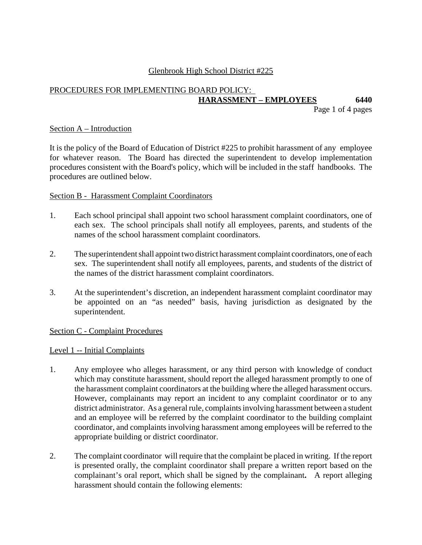## Glenbrook High School District #225

# PROCEDURES FOR IMPLEMENTING BOARD POLICY: **HARASSMENT – EMPLOYEES 6440**

Page 1 of 4 pages

#### Section A – Introduction

It is the policy of the Board of Education of District #225 to prohibit harassment of any employee for whatever reason. The Board has directed the superintendent to develop implementation procedures consistent with the Board's policy, which will be included in the staff handbooks. The procedures are outlined below.

#### Section B - Harassment Complaint Coordinators

- 1. Each school principal shall appoint two school harassment complaint coordinators, one of each sex. The school principals shall notify all employees, parents, and students of the names of the school harassment complaint coordinators.
- 2. The superintendent shall appoint two district harassment complaint coordinators, one of each sex. The superintendent shall notify all employees, parents, and students of the district of the names of the district harassment complaint coordinators.
- 3. At the superintendent's discretion, an independent harassment complaint coordinator may be appointed on an "as needed" basis, having jurisdiction as designated by the superintendent.

#### Section C - Complaint Procedures

### Level 1 -- Initial Complaints

- 1. Any employee who alleges harassment, or any third person with knowledge of conduct which may constitute harassment, should report the alleged harassment promptly to one of the harassment complaint coordinators at the building where the alleged harassment occurs. However, complainants may report an incident to any complaint coordinator or to any district administrator. As a general rule, complaints involving harassment between a student and an employee will be referred by the complaint coordinator to the building complaint coordinator, and complaints involving harassment among employees will be referred to the appropriate building or district coordinator.
- 2. The complaint coordinator will require that the complaint be placed in writing. If the report is presented orally, the complaint coordinator shall prepare a written report based on the complainant's oral report, which shall be signed by the complainant**.** A report alleging harassment should contain the following elements: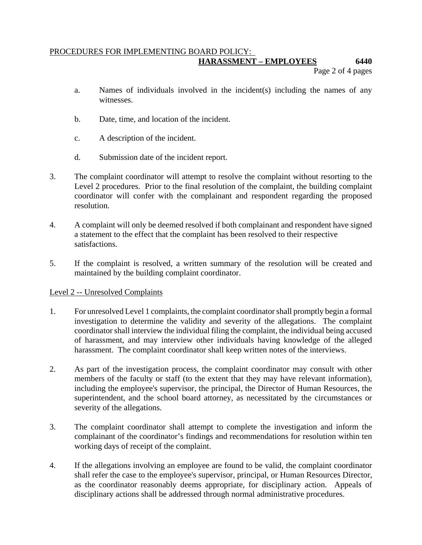# PROCEDURES FOR IMPLEMENTING BOARD POLICY: **HARASSMENT – EMPLOYEES 6440**

Page 2 of 4 pages

- a. Names of individuals involved in the incident(s) including the names of any witnesses.
- b. Date, time, and location of the incident.
- c. A description of the incident.
- d. Submission date of the incident report.
- 3. The complaint coordinator will attempt to resolve the complaint without resorting to the Level 2 procedures. Prior to the final resolution of the complaint, the building complaint coordinator will confer with the complainant and respondent regarding the proposed resolution.
- 4. A complaint will only be deemed resolved if both complainant and respondent have signed a statement to the effect that the complaint has been resolved to their respective satisfactions.
- 5. If the complaint is resolved, a written summary of the resolution will be created and maintained by the building complaint coordinator.

### Level 2 -- Unresolved Complaints

- 1. For unresolved Level 1 complaints, the complaint coordinator shall promptly begin a formal investigation to determine the validity and severity of the allegations. The complaint coordinator shall interview the individual filing the complaint, the individual being accused of harassment, and may interview other individuals having knowledge of the alleged harassment. The complaint coordinator shall keep written notes of the interviews.
- 2. As part of the investigation process, the complaint coordinator may consult with other members of the faculty or staff (to the extent that they may have relevant information), including the employee's supervisor, the principal, the Director of Human Resources, the superintendent, and the school board attorney, as necessitated by the circumstances or severity of the allegations.
- 3. The complaint coordinator shall attempt to complete the investigation and inform the complainant of the coordinator's findings and recommendations for resolution within ten working days of receipt of the complaint.
- 4. If the allegations involving an employee are found to be valid, the complaint coordinator shall refer the case to the employee's supervisor, principal, or Human Resources Director, as the coordinator reasonably deems appropriate, for disciplinary action. Appeals of disciplinary actions shall be addressed through normal administrative procedures.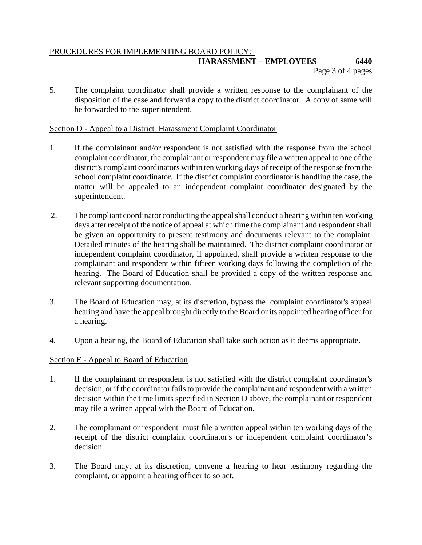# PROCEDURES FOR IMPLEMENTING BOARD POLICY: **HARASSMENT – EMPLOYEES 6440**

Page 3 of 4 pages

5. The complaint coordinator shall provide a written response to the complainant of the disposition of the case and forward a copy to the district coordinator. A copy of same will be forwarded to the superintendent.

## Section D - Appeal to a District Harassment Complaint Coordinator

- 1. If the complainant and/or respondent is not satisfied with the response from the school complaint coordinator, the complainant or respondent may file a written appeal to one of the district's complaint coordinators within ten working days of receipt of the response from the school complaint coordinator. If the district complaint coordinator is handling the case, the matter will be appealed to an independent complaint coordinator designated by the superintendent.
- 2. The compliant coordinator conducting the appeal shall conduct a hearing within ten working days after receipt of the notice of appeal at which time the complainant and respondent shall be given an opportunity to present testimony and documents relevant to the complaint. Detailed minutes of the hearing shall be maintained. The district complaint coordinator or independent complaint coordinator, if appointed, shall provide a written response to the complainant and respondent within fifteen working days following the completion of the hearing. The Board of Education shall be provided a copy of the written response and relevant supporting documentation.
- 3. The Board of Education may, at its discretion, bypass the complaint coordinator's appeal hearing and have the appeal brought directly to the Board or its appointed hearing officer for a hearing.
- 4. Upon a hearing, the Board of Education shall take such action as it deems appropriate.

### Section E - Appeal to Board of Education

- 1. If the complainant or respondent is not satisfied with the district complaint coordinator's decision, or if the coordinator fails to provide the complainant and respondent with a written decision within the time limits specified in Section D above, the complainant or respondent may file a written appeal with the Board of Education.
- 2. The complainant or respondent must file a written appeal within ten working days of the receipt of the district complaint coordinator's or independent complaint coordinator's decision.
- 3. The Board may, at its discretion, convene a hearing to hear testimony regarding the complaint, or appoint a hearing officer to so act.